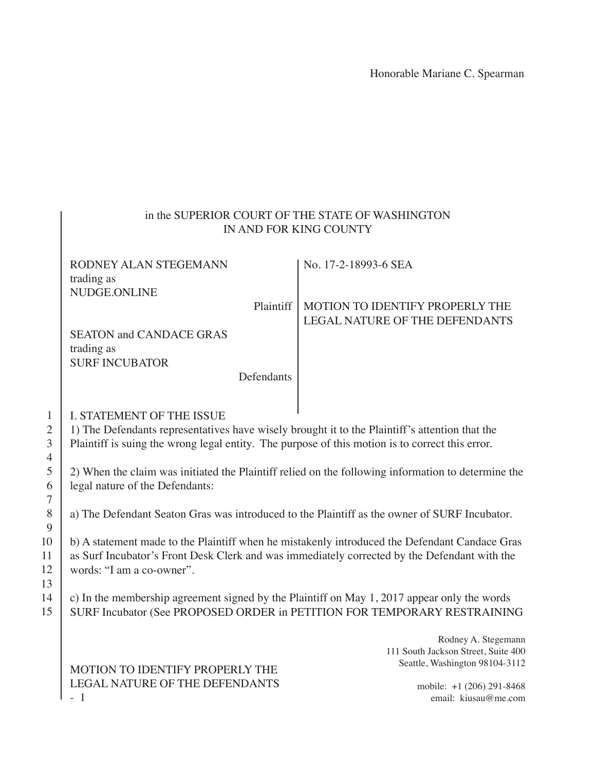## in the SUPERIOR COURT OF THE STATE OF WASHINGTON IN AND FOR KING COUNTY

| RODNEY ALAN STEGEMANN           |            | No. 17-2-18993-6 SEA                        |
|---------------------------------|------------|---------------------------------------------|
| trading as                      |            |                                             |
| NUDGE.ONLINE                    |            |                                             |
|                                 |            | Plaintiff   MOTION TO IDENTIFY PROPERLY THE |
|                                 |            | LEGAL NATURE OF THE DEFENDANTS              |
| <b>SEATON and CANDACE GRAS</b>  |            |                                             |
| trading as                      |            |                                             |
| <b>SURF INCUBATOR</b>           |            |                                             |
|                                 | Defendants |                                             |
|                                 |            |                                             |
| L AM LOON (D) IO AD OLID LAALID |            |                                             |

### I. STATEMENT OF THE ISSUE

1) The Defendants representatives have wisely brought it to the Plaintiff's attention that the Plaintiff is suing the wrong legal entity. The purpose of this motion is to correct this error.

2) When the claim was initiated the Plaintiff relied on the following information to determine the legal nature of the Defendants:

a) The Defendant Seaton Gras was introduced to the Plaintiff as the owner of SURF Incubator.

b) A statement made to the Plaintiff when he mistakenly introduced the Defendant Candace Gras as Surf Incubator's Front Desk Clerk and was immediately corrected by the Defendant with the words: "I am a co-owner".

c) In the membership agreement signed by the Plaintiff on May 1, 2017 appear only the words SURF Incubator (See PROPOSED ORDER in PETITION FOR TEMPORARY RESTRAINING

> Rodney A. Stegemann 111 South Jackson Street, Suite 400 Seattle, Washington 98104-3112

> > mobile: +1 (206) 291-8468 email: kiusau@me.com

# 3 4 5 6 7 8 9 10 11 12 13 14 15

1 2

#### MOTION TO IDENTIFY PROPERLY THE LEGAL NATURE OF THE DEFENDANTS - 1